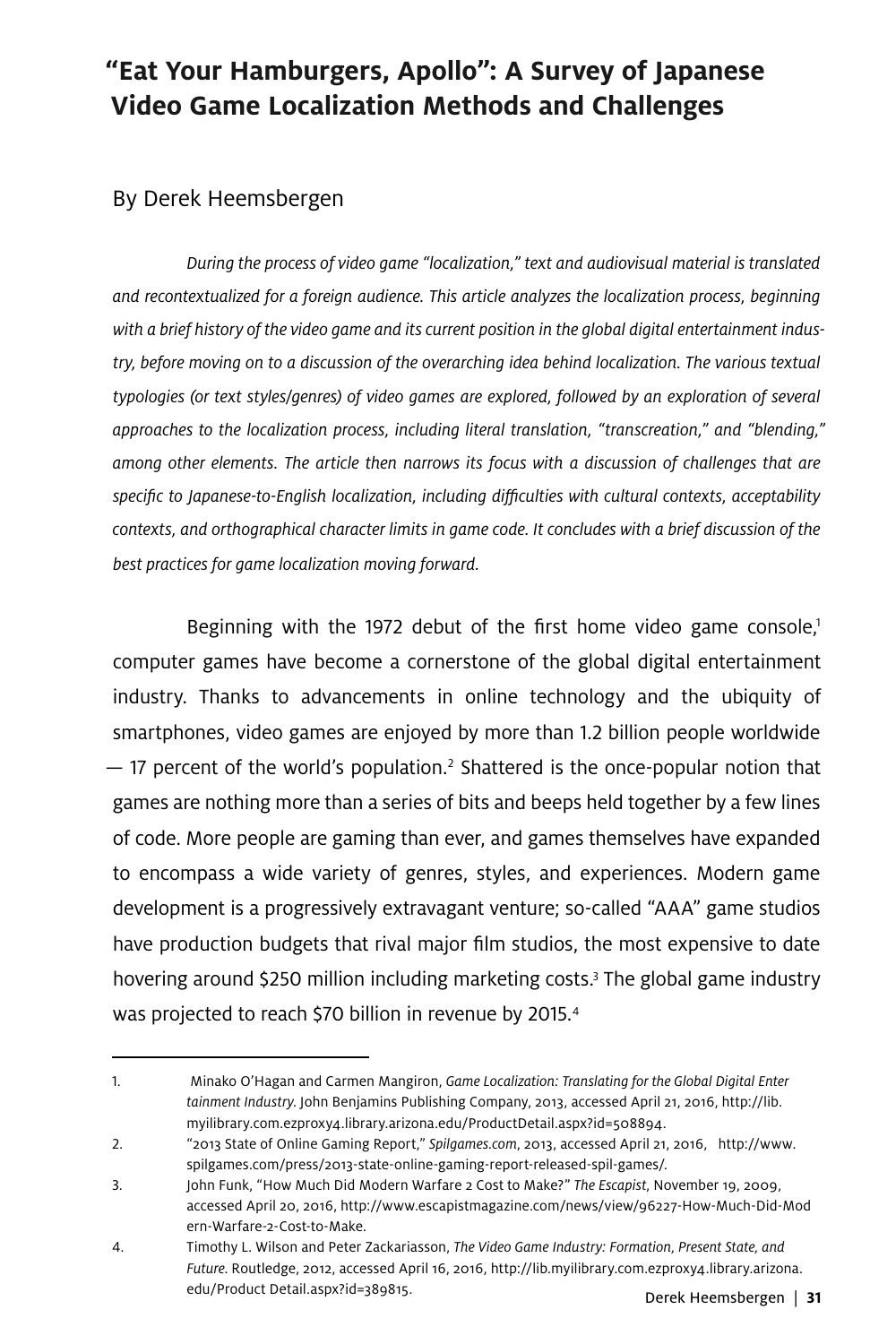# **"Eat Your Hamburgers, Apollo": A Survey of Japanese Video Game Localization Methods and Challenges**

### By Derek Heemsbergen

*During the process of video game "localization," text and audiovisual material is translated and recontextualized for a foreign audience. This article analyzes the localization process, beginning with a brief history of the video game and its current position in the global digital entertainment industry, before moving on to a discussion of the overarching idea behind localization. The various textual typologies (or text styles/genres) of video games are explored, followed by an exploration of several approaches to the localization process, including literal translation, "transcreation," and "blending," among other elements. The article then narrows its focus with a discussion of challenges that are specific to Japanese-to-English localization, including difficulties with cultural contexts, acceptability contexts, and orthographical character limits in game code. It concludes with a brief discussion of the best practices for game localization moving forward.* 

Beginning with the 1972 debut of the first home video game console, $1$ computer games have become a cornerstone of the global digital entertainment industry. Thanks to advancements in online technology and the ubiquity of smartphones, video games are enjoyed by more than 1.2 billion people worldwide  $-$  17 percent of the world's population.<sup>2</sup> Shattered is the once-popular notion that games are nothing more than a series of bits and beeps held together by a few lines of code. More people are gaming than ever, and games themselves have expanded to encompass a wide variety of genres, styles, and experiences. Modern game development is a progressively extravagant venture; so-called "AAA" game studios have production budgets that rival major film studios, the most expensive to date hovering around \$250 million including marketing costs.3 The global game industry was projected to reach \$70 billion in revenue by 2015. 4

<sup>1.</sup> Minako O'Hagan and Carmen Mangiron, *Game Localization: Translating for the Global Digital Enter tainment Industry*. John Benjamins Publishing Company, 2013, accessed April 21, 2016, http://lib. myilibrary.com.ezproxy4.library.arizona.edu/ProductDetail.aspx?id=508894.

<sup>2.</sup> "2013 State of Online Gaming Report," *Spilgames.com*, 2013, accessed April 21, 2016, http://www. spilgames.com/press/2013-state-online-gaming-report-released-spil-games/.

<sup>3.</sup> John Funk, "How Much Did Modern Warfare 2 Cost to Make?" *The Escapist*, November 19, 2009, accessed April 20, 2016, http://www.escapistmagazine.com/news/view/96227-How-Much-Did-Mod ern-Warfare-2-Cost-to-Make.

<sup>4.</sup> Timothy L. Wilson and Peter Zackariasson, *The Video Game Industry: Formation, Present State, and Future*. Routledge, 2012, accessed April 16, 2016, http://lib.myilibrary.com.ezproxy4.library.arizona. edu/Product Detail.aspx?id=389815.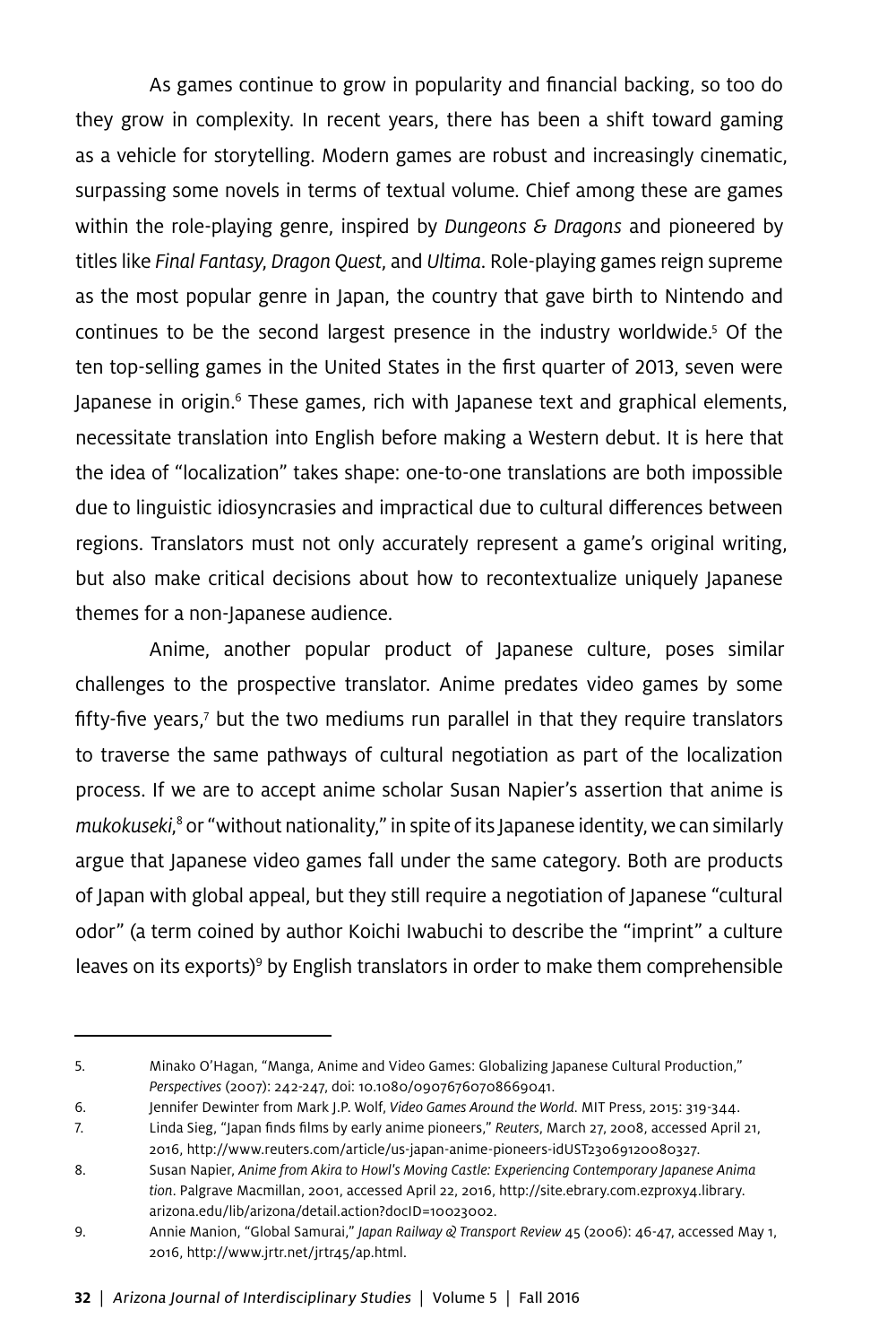As games continue to grow in popularity and financial backing, so too do they grow in complexity. In recent years, there has been a shift toward gaming as a vehicle for storytelling. Modern games are robust and increasingly cinematic, surpassing some novels in terms of textual volume. Chief among these are games within the role-playing genre, inspired by *Dungeons & Dragons* and pioneered by titles like *Final Fantasy*, *Dragon Quest*, and *Ultima*. Role-playing games reign supreme as the most popular genre in Japan, the country that gave birth to Nintendo and continues to be the second largest presence in the industry worldwide.<sup>5</sup> Of the ten top-selling games in the United States in the first quarter of 2013, seven were Japanese in origin.<sup>6</sup> These games, rich with Japanese text and graphical elements, necessitate translation into English before making a Western debut. It is here that the idea of "localization" takes shape: one-to-one translations are both impossible due to linguistic idiosyncrasies and impractical due to cultural differences between regions. Translators must not only accurately represent a game's original writing, but also make critical decisions about how to recontextualize uniquely Japanese themes for a non-Japanese audience.

Anime, another popular product of Japanese culture, poses similar challenges to the prospective translator. Anime predates video games by some fifty-five years,<sup>7</sup> but the two mediums run parallel in that they require translators to traverse the same pathways of cultural negotiation as part of the localization process. If we are to accept anime scholar Susan Napier's assertion that anime is *mukokuseki*, 8 or "without nationality," in spite of its Japanese identity, we can similarly argue that Japanese video games fall under the same category. Both are products of Japan with global appeal, but they still require a negotiation of Japanese "cultural odor" (a term coined by author Koichi Iwabuchi to describe the "imprint" a culture leaves on its exports)<sup>9</sup> by English translators in order to make them comprehensible

<sup>5.</sup> Minako O'Hagan, "Manga, Anime and Video Games: Globalizing Japanese Cultural Production," *Perspectives* (2007): 242-247, doi: 10.1080/09076760708669041.

<sup>6.</sup> Jennifer Dewinter from Mark J.P. Wolf, *Video Games Around the World*. MIT Press, 2015: 319-344.

<sup>7.</sup> Linda Sieg, "Japan finds films by early anime pioneers," *Reuters*, March 27, 2008, accessed April 21, 2016, http://www.reuters.com/article/us-japan-anime-pioneers-idUST23069120080327.

<sup>8.</sup> Susan Napier, *Anime from Akira to Howl's Moving Castle: Experiencing Contemporary Japanese Anima tion*. Palgrave Macmillan, 2001, accessed April 22, 2016, http://site.ebrary.com.ezproxy4.library. arizona.edu/lib/arizona/detail.action?docID=10023002.

<sup>9.</sup> Annie Manion, "Global Samurai," *Japan Railway & Transport Review* 45 (2006): 46-47, accessed May 1, 2016, http://www.jrtr.net/jrtr45/ap.html.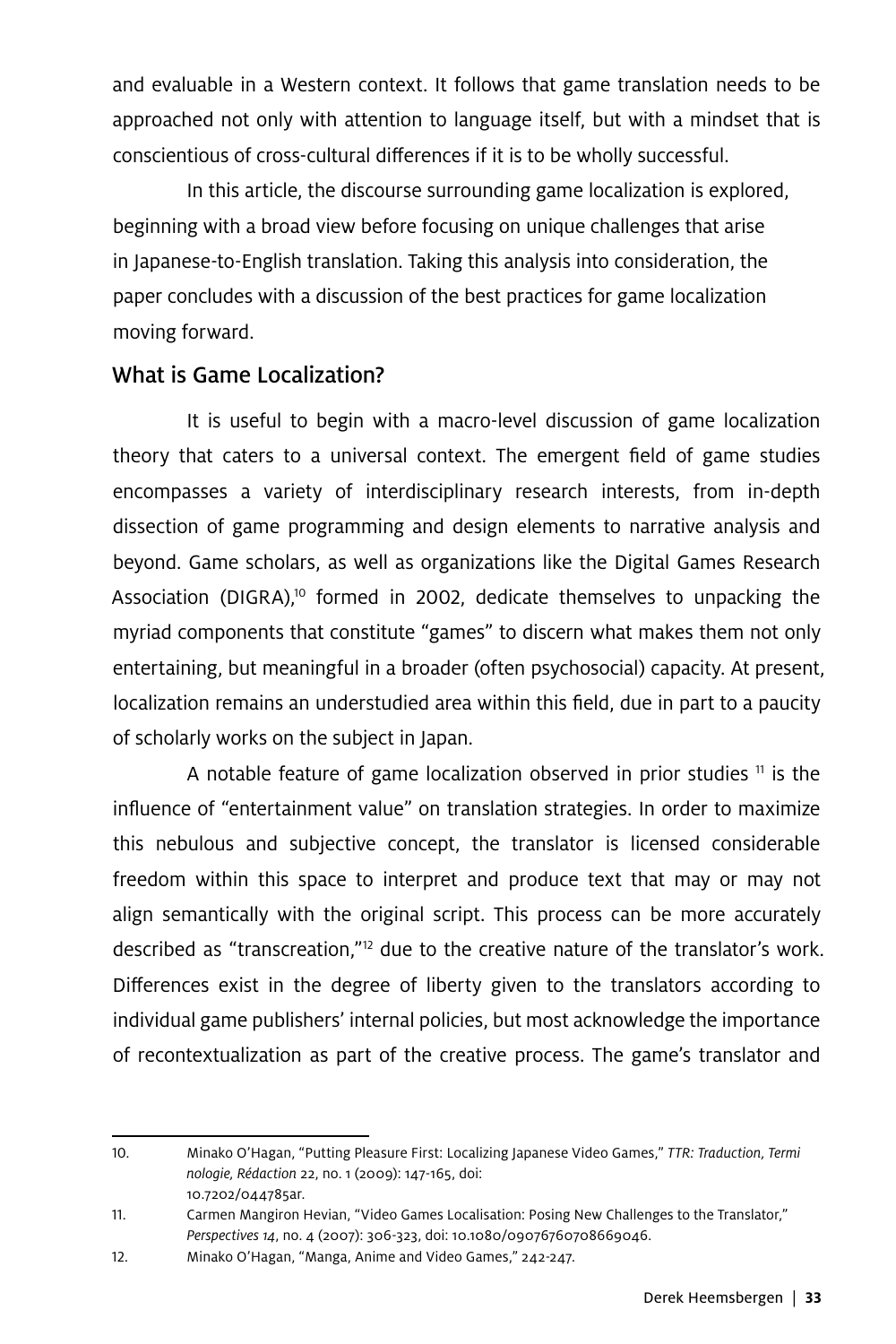and evaluable in a Western context. It follows that game translation needs to be approached not only with attention to language itself, but with a mindset that is conscientious of cross-cultural differences if it is to be wholly successful.

In this article, the discourse surrounding game localization is explored, beginning with a broad view before focusing on unique challenges that arise in Japanese-to-English translation. Taking this analysis into consideration, the paper concludes with a discussion of the best practices for game localization moving forward.

### What is Game Localization?

It is useful to begin with a macro-level discussion of game localization theory that caters to a universal context. The emergent field of game studies encompasses a variety of interdisciplinary research interests, from in-depth dissection of game programming and design elements to narrative analysis and beyond. Game scholars, as well as organizations like the Digital Games Research Association (DIGRA),<sup>10</sup> formed in 2002, dedicate themselves to unpacking the myriad components that constitute "games" to discern what makes them not only entertaining, but meaningful in a broader (often psychosocial) capacity. At present, localization remains an understudied area within this field, due in part to a paucity of scholarly works on the subject in Japan.

A notable feature of game localization observed in prior studies  $<sup>11</sup>$  is the</sup> influence of "entertainment value" on translation strategies. In order to maximize this nebulous and subjective concept, the translator is licensed considerable freedom within this space to interpret and produce text that may or may not align semantically with the original script. This process can be more accurately described as "transcreation,"12 due to the creative nature of the translator's work. Differences exist in the degree of liberty given to the translators according to individual game publishers' internal policies, but most acknowledge the importance of recontextualization as part of the creative process. The game's translator and

<sup>10.</sup> Minako O'Hagan, "Putting Pleasure First: Localizing Japanese Video Games," *TTR: Traduction, Termi nologie, Rédaction* 22, no. 1 (2009): 147-165, doi: 10.7202/044785ar.

<sup>11.</sup> Carmen Mangiron Hevian, "Video Games Localisation: Posing New Challenges to the Translator," *Perspectives 14*, no. 4 (2007): 306-323, doi: 10.1080/09076760708669046.

<sup>12.</sup> Minako O'Hagan, "Manga, Anime and Video Games," 242-247.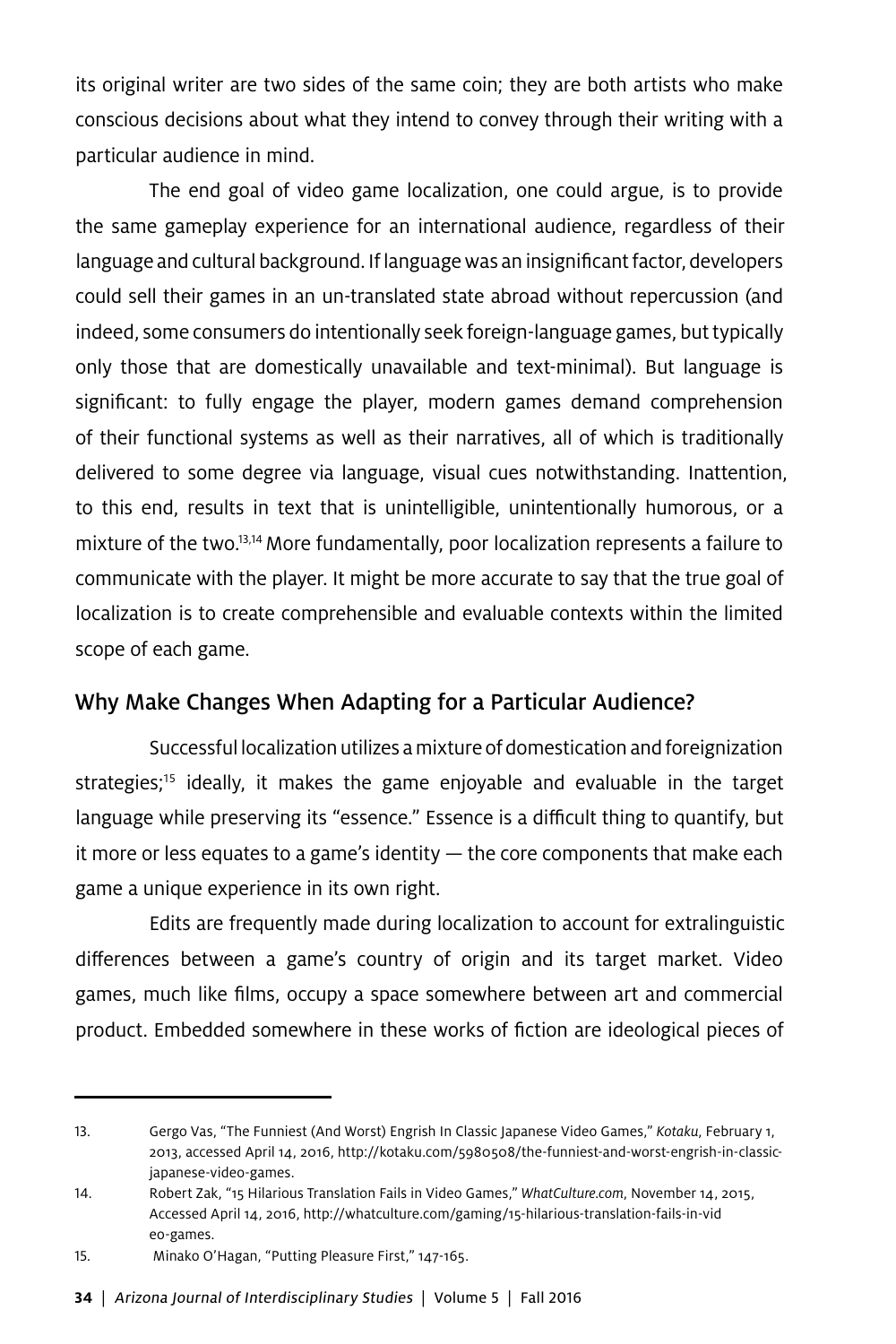its original writer are two sides of the same coin; they are both artists who make conscious decisions about what they intend to convey through their writing with a particular audience in mind.

The end goal of video game localization, one could argue, is to provide the same gameplay experience for an international audience, regardless of their language and cultural background. If language was an insignificant factor, developers could sell their games in an un-translated state abroad without repercussion (and indeed, some consumers do intentionally seek foreign-language games, but typically only those that are domestically unavailable and text-minimal). But language is significant: to fully engage the player, modern games demand comprehension of their functional systems as well as their narratives, all of which is traditionally delivered to some degree via language, visual cues notwithstanding. Inattention, to this end, results in text that is unintelligible, unintentionally humorous, or a mixture of the two.<sup>13,14</sup> More fundamentally, poor localization represents a failure to communicate with the player. It might be more accurate to say that the true goal of localization is to create comprehensible and evaluable contexts within the limited scope of each game.

### Why Make Changes When Adapting for a Particular Audience?

Successful localization utilizes a mixture of domestication and foreignization strategies;<sup>15</sup> ideally, it makes the game enjoyable and evaluable in the target language while preserving its "essence." Essence is a difficult thing to quantify, but it more or less equates to a game's identity — the core components that make each game a unique experience in its own right.

Edits are frequently made during localization to account for extralinguistic differences between a game's country of origin and its target market. Video games, much like films, occupy a space somewhere between art and commercial product. Embedded somewhere in these works of fiction are ideological pieces of

<sup>13.</sup> Gergo Vas, "The Funniest (And Worst) Engrish In Classic Japanese Video Games," *Kotaku*, February 1, 2013, accessed April 14, 2016, http://kotaku.com/5980508/the-funniest-and-worst-engrish-in-classicjapanese-video-games.

<sup>14.</sup> Robert Zak, "15 Hilarious Translation Fails in Video Games," *WhatCulture.com*, November 14, 2015, Accessed April 14, 2016, http://whatculture.com/gaming/15-hilarious-translation-fails-in-vid eo-games.

<sup>15.</sup> Minako O'Hagan, "Putting Pleasure First," 147-165.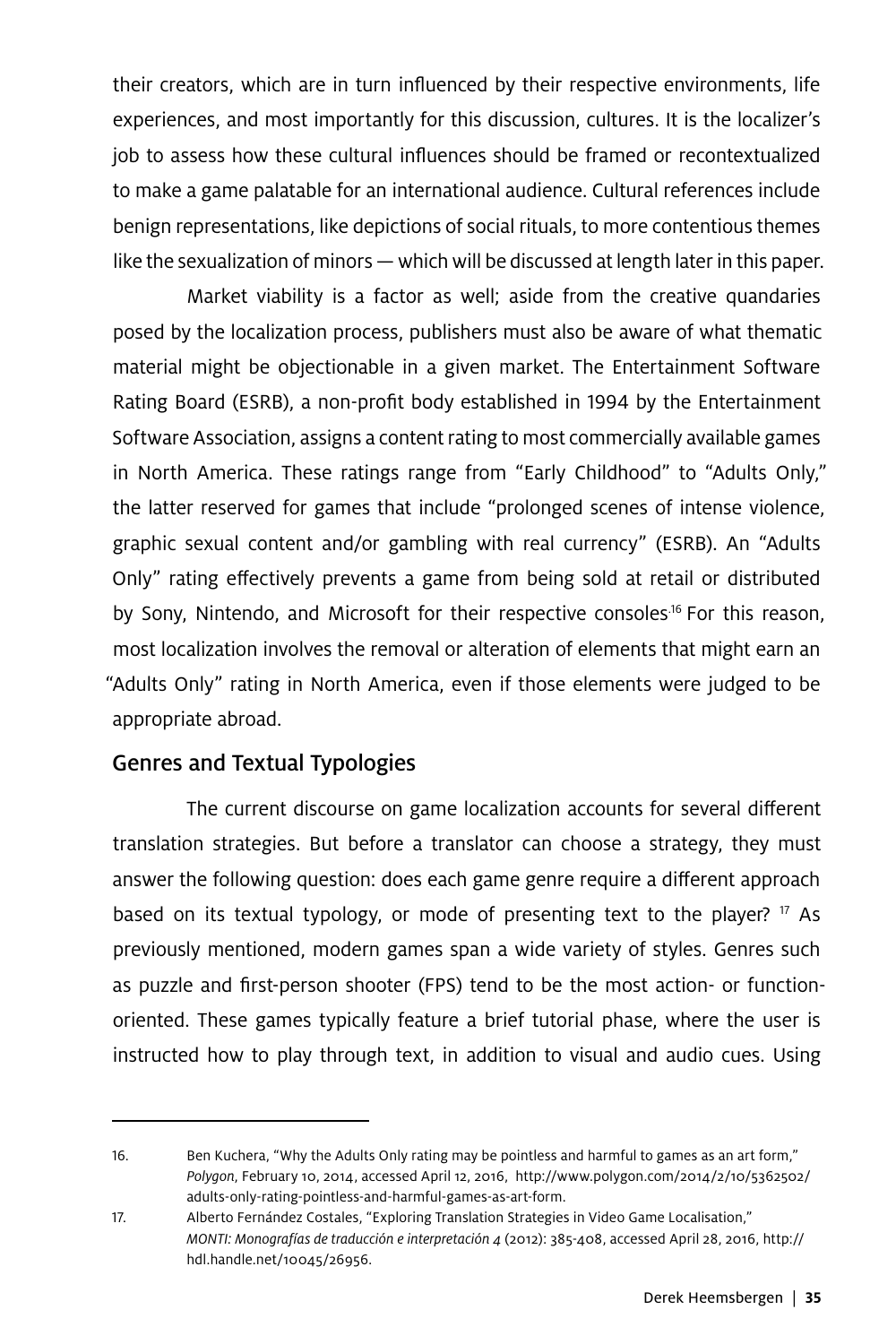their creators, which are in turn influenced by their respective environments, life experiences, and most importantly for this discussion, cultures. It is the localizer's job to assess how these cultural influences should be framed or recontextualized to make a game palatable for an international audience. Cultural references include benign representations, like depictions of social rituals, to more contentious themes like the sexualization of minors — which will be discussed at length later in this paper.

Market viability is a factor as well; aside from the creative quandaries posed by the localization process, publishers must also be aware of what thematic material might be objectionable in a given market. The Entertainment Software Rating Board (ESRB), a non-profit body established in 1994 by the Entertainment Software Association, assigns a content rating to most commercially available games in North America. These ratings range from "Early Childhood" to "Adults Only," the latter reserved for games that include "prolonged scenes of intense violence, graphic sexual content and/or gambling with real currency" (ESRB). An "Adults Only" rating effectively prevents a game from being sold at retail or distributed by Sony, Nintendo, and Microsoft for their respective consoles<sup>16</sup> For this reason, most localization involves the removal or alteration of elements that might earn an "Adults Only" rating in North America, even if those elements were judged to be appropriate abroad.

### Genres and Textual Typologies

The current discourse on game localization accounts for several different translation strategies. But before a translator can choose a strategy, they must answer the following question: does each game genre require a different approach based on its textual typology, or mode of presenting text to the player?  $17$  As previously mentioned, modern games span a wide variety of styles. Genres such as puzzle and first-person shooter (FPS) tend to be the most action- or functionoriented. These games typically feature a brief tutorial phase, where the user is instructed how to play through text, in addition to visual and audio cues. Using

<sup>16.</sup> Ben Kuchera, "Why the Adults Only rating may be pointless and harmful to games as an art form," *Polygon*, February 10, 2014, accessed April 12, 2016, http://www.polygon.com/2014/2/10/5362502/ adults-only-rating-pointless-and-harmful-games-as-art-form.

<sup>17.</sup> Alberto Fernández Costales, "Exploring Translation Strategies in Video Game Localisation," *MONTI: Monografías de traducción e interpretación 4* (2012): 385-408, accessed April 28, 2016, http:// hdl.handle.net/10045/26956.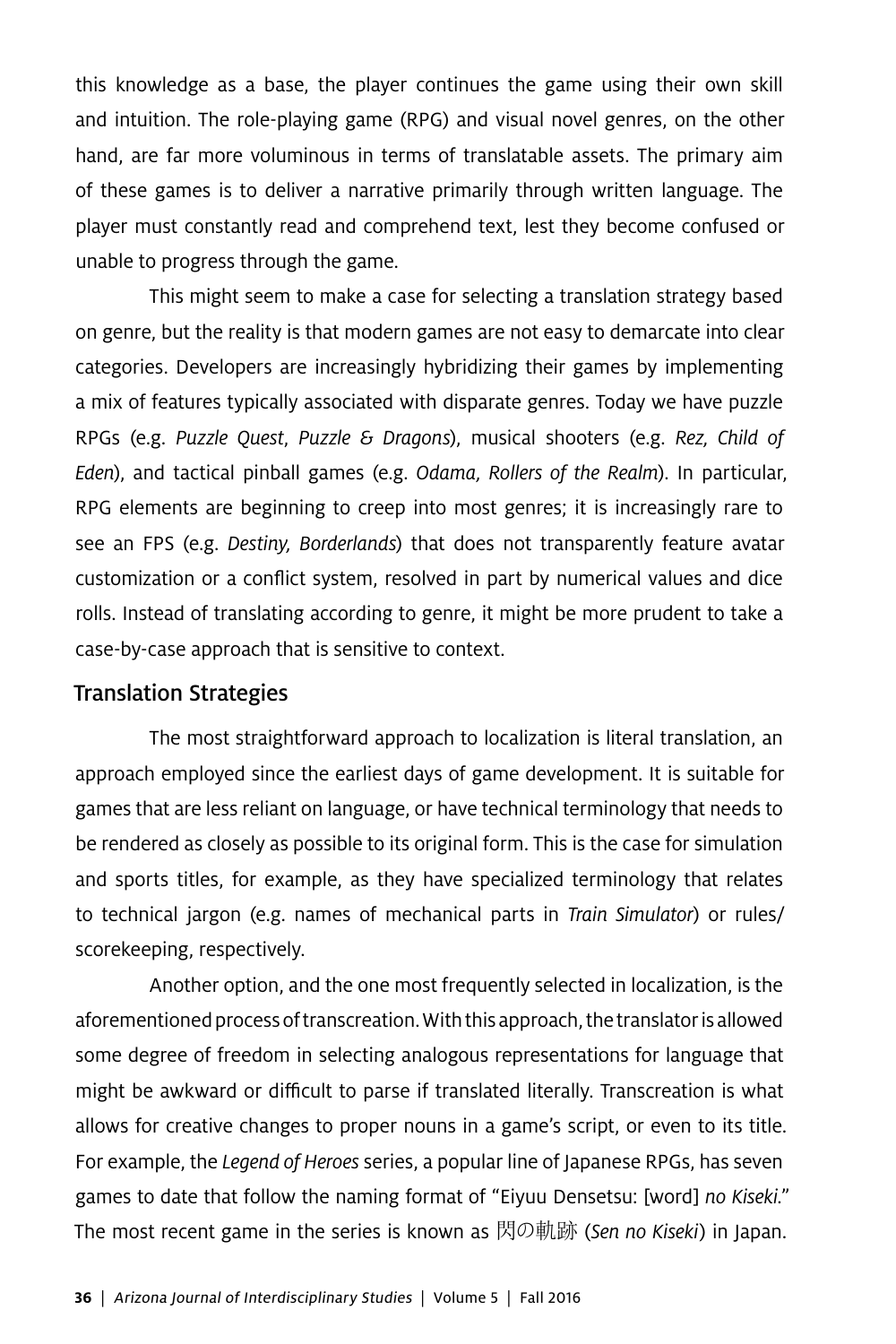this knowledge as a base, the player continues the game using their own skill and intuition. The role-playing game (RPG) and visual novel genres, on the other hand, are far more voluminous in terms of translatable assets. The primary aim of these games is to deliver a narrative primarily through written language. The player must constantly read and comprehend text, lest they become confused or unable to progress through the game.

This might seem to make a case for selecting a translation strategy based on genre, but the reality is that modern games are not easy to demarcate into clear categories. Developers are increasingly hybridizing their games by implementing a mix of features typically associated with disparate genres. Today we have puzzle RPGs (e.g. *Puzzle Quest*, *Puzzle & Dragons*), musical shooters (e.g. *Rez, Child of Eden*), and tactical pinball games (e.g. *Odama, Rollers of the Realm*). In particular, RPG elements are beginning to creep into most genres; it is increasingly rare to see an FPS (e.g. *Destiny, Borderlands*) that does not transparently feature avatar customization or a conflict system, resolved in part by numerical values and dice rolls. Instead of translating according to genre, it might be more prudent to take a case-by-case approach that is sensitive to context.

#### Translation Strategies

The most straightforward approach to localization is literal translation, an approach employed since the earliest days of game development. It is suitable for games that are less reliant on language, or have technical terminology that needs to be rendered as closely as possible to its original form. This is the case for simulation and sports titles, for example, as they have specialized terminology that relates to technical jargon (e.g. names of mechanical parts in *Train Simulator*) or rules/ scorekeeping, respectively.

Another option, and the one most frequently selected in localization, is the aforementioned process of transcreation. With this approach, the translator is allowed some degree of freedom in selecting analogous representations for language that might be awkward or difficult to parse if translated literally. Transcreation is what allows for creative changes to proper nouns in a game's script, or even to its title. For example, the *Legend of Heroes* series, a popular line of Japanese RPGs, has seven games to date that follow the naming format of "Eiyuu Densetsu: [word] *no Kiseki.*" The most recent game in the series is known as 閃の軌跡 (*Sen no Kiseki*) in Japan.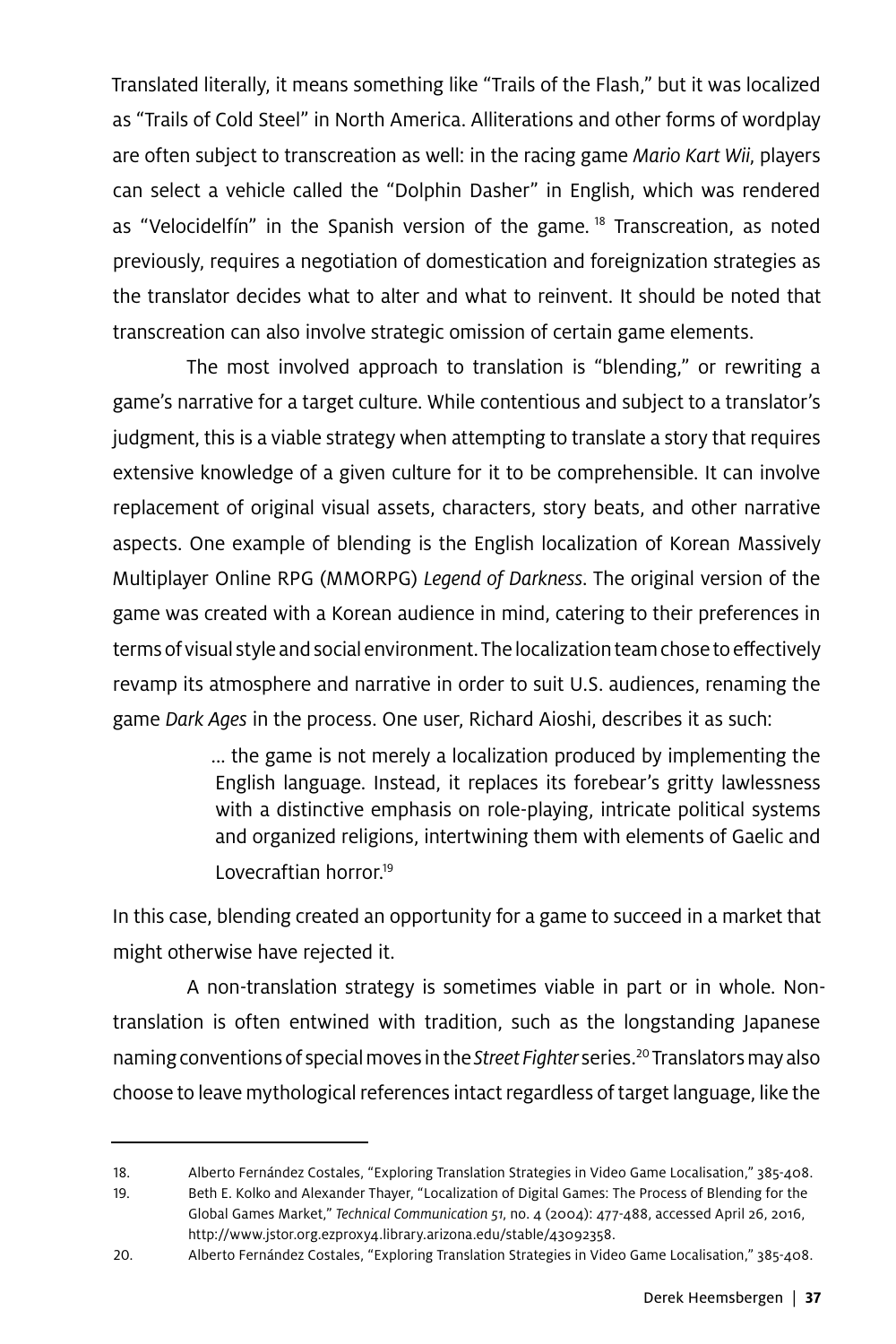Translated literally, it means something like "Trails of the Flash," but it was localized as "Trails of Cold Steel" in North America. Alliterations and other forms of wordplay are often subject to transcreation as well: in the racing game *Mario Kart Wii*, players can select a vehicle called the "Dolphin Dasher" in English, which was rendered as "Velocidelfín" in the Spanish version of the game.<sup>18</sup> Transcreation, as noted previously, requires a negotiation of domestication and foreignization strategies as the translator decides what to alter and what to reinvent. It should be noted that transcreation can also involve strategic omission of certain game elements.

The most involved approach to translation is "blending," or rewriting a game's narrative for a target culture. While contentious and subject to a translator's judgment, this is a viable strategy when attempting to translate a story that requires extensive knowledge of a given culture for it to be comprehensible. It can involve replacement of original visual assets, characters, story beats, and other narrative aspects. One example of blending is the English localization of Korean Massively Multiplayer Online RPG (MMORPG) *Legend of Darkness*. The original version of the game was created with a Korean audience in mind, catering to their preferences in terms of visual style and social environment. The localization team chose to effectively revamp its atmosphere and narrative in order to suit U.S. audiences, renaming the game *Dark Ages* in the process. One user, Richard Aioshi, describes it as such:

> ... the game is not merely a localization produced by implementing the English language. Instead, it replaces its forebear's gritty lawlessness with a distinctive emphasis on role-playing, intricate political systems and organized religions, intertwining them with elements of Gaelic and Lovecraftian horror.<sup>19</sup>

In this case, blending created an opportunity for a game to succeed in a market that might otherwise have rejected it.

A non-translation strategy is sometimes viable in part or in whole. Nontranslation is often entwined with tradition, such as the longstanding Japanese naming conventions of special moves in the *Street Fighter* series.20 Translators may also choose to leave mythological references intact regardless of target language, like the

<sup>18.</sup> Alberto Fernández Costales, "Exploring Translation Strategies in Video Game Localisation," 385-408.

<sup>19.</sup> Beth E. Kolko and Alexander Thayer, "Localization of Digital Games: The Process of Blending for the Global Games Market," *Technical Communication 51*, no. 4 (2004): 477-488, accessed April 26, 2016, http://www.jstor.org.ezproxy4.library.arizona.edu/stable/43092358.

<sup>20.</sup> Alberto Fernández Costales, "Exploring Translation Strategies in Video Game Localisation," 385-408.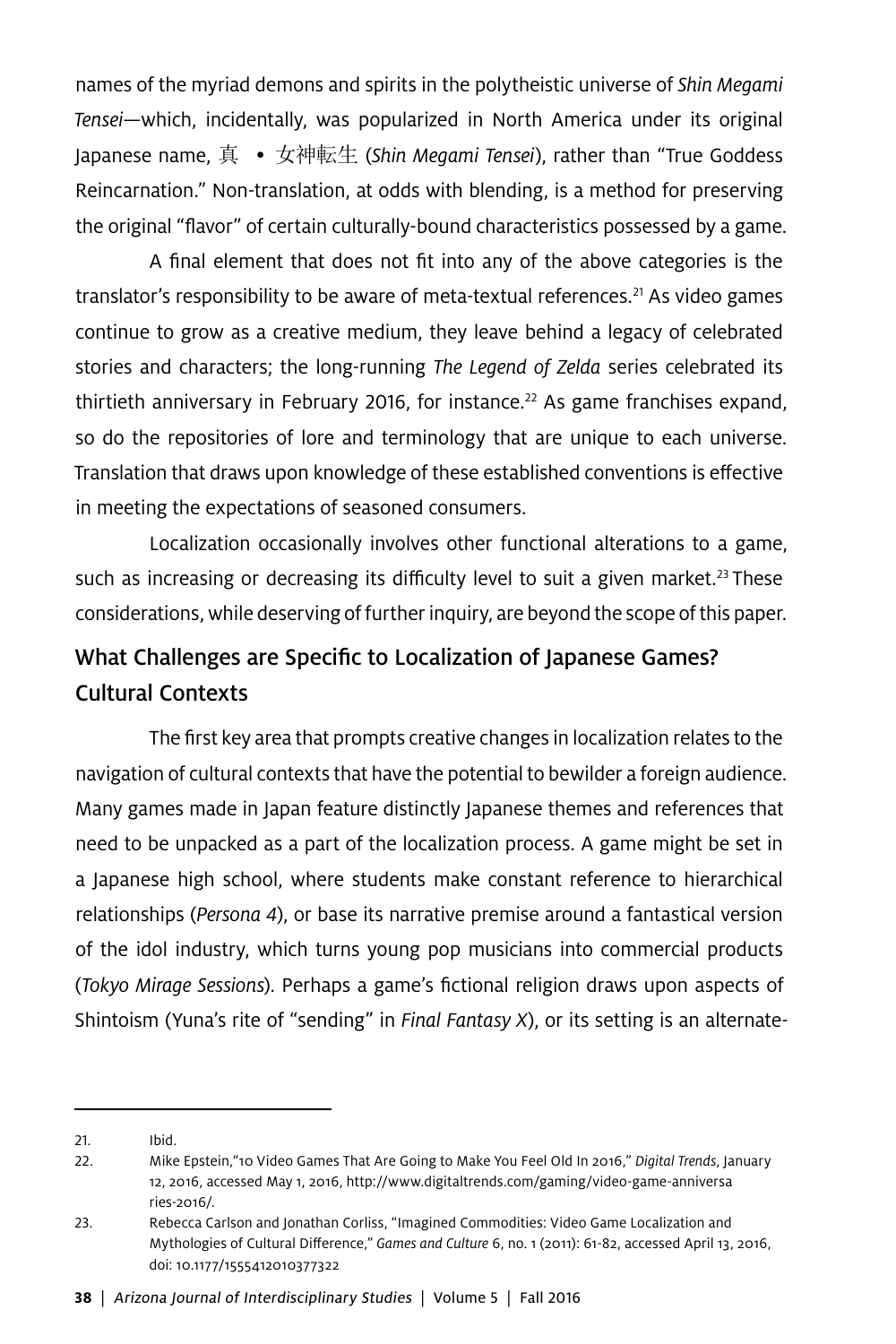names of the myriad demons and spirits in the polytheistic universe of *Shin Megami Tensei*—which, incidentally, was popularized in North America under its original Japanese name, 真 • 女神転生 (*Shin Megami Tensei*), rather than "True Goddess Reincarnation." Non-translation, at odds with blending, is a method for preserving the original "flavor" of certain culturally-bound characteristics possessed by a game.

A final element that does not fit into any of the above categories is the translator's responsibility to be aware of meta-textual references.<sup>21</sup> As video games continue to grow as a creative medium, they leave behind a legacy of celebrated stories and characters; the long-running *The Legend of Zelda* series celebrated its thirtieth anniversary in February 2016, for instance.<sup>22</sup> As game franchises expand, so do the repositories of lore and terminology that are unique to each universe. Translation that draws upon knowledge of these established conventions is effective in meeting the expectations of seasoned consumers.

Localization occasionally involves other functional alterations to a game, such as increasing or decreasing its difficulty level to suit a given market.<sup>23</sup> These considerations, while deserving of further inquiry, are beyond the scope of this paper.

## What Challenges are Specific to Localization of Japanese Games? Cultural Contexts

The first key area that prompts creative changes in localization relates to the navigation of cultural contexts that have the potential to bewilder a foreign audience. Many games made in Japan feature distinctly Japanese themes and references that need to be unpacked as a part of the localization process. A game might be set in a Japanese high school, where students make constant reference to hierarchical relationships (*Persona 4*), or base its narrative premise around a fantastical version of the idol industry, which turns young pop musicians into commercial products (*Tokyo Mirage Sessions*). Perhaps a game's fictional religion draws upon aspects of Shintoism (Yuna's rite of "sending" in *Final Fantasy X*), or its setting is an alternate-

<sup>21.</sup> Ibid.

<sup>22.</sup> Mike Epstein,"10 Video Games That Are Going to Make You Feel Old In 2016," *Digital Trends*, January 12, 2016, accessed May 1, 2016, http://www.digitaltrends.com/gaming/video-game-anniversa ries-2016/.

<sup>23.</sup> Rebecca Carlson and Jonathan Corliss, "Imagined Commodities: Video Game Localization and Mythologies of Cultural Difference," *Games and Culture* 6, no. 1 (2011): 61-82, accessed April 13, 2016, doi: 10.1177/1555412010377322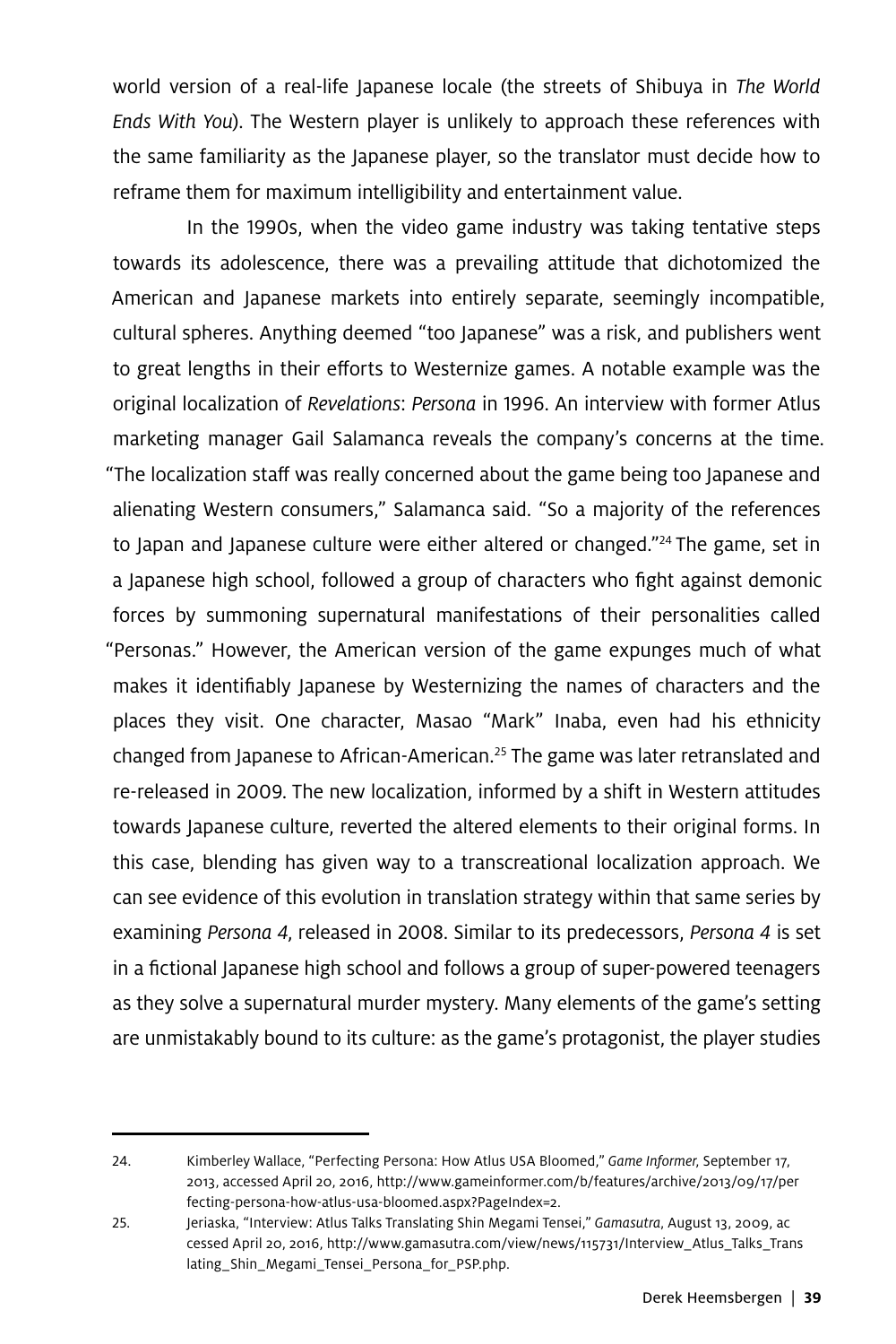world version of a real-life Japanese locale (the streets of Shibuya in *The World Ends With You*). The Western player is unlikely to approach these references with the same familiarity as the Japanese player, so the translator must decide how to reframe them for maximum intelligibility and entertainment value.

In the 1990s, when the video game industry was taking tentative steps towards its adolescence, there was a prevailing attitude that dichotomized the American and Japanese markets into entirely separate, seemingly incompatible, cultural spheres. Anything deemed "too Japanese" was a risk, and publishers went to great lengths in their efforts to Westernize games. A notable example was the original localization of *Revelations*: *Persona* in 1996. An interview with former Atlus marketing manager Gail Salamanca reveals the company's concerns at the time. "The localization staff was really concerned about the game being too Japanese and alienating Western consumers," Salamanca said. "So a majority of the references to Japan and Japanese culture were either altered or changed."<sup>24</sup> The game, set in a Japanese high school, followed a group of characters who fight against demonic forces by summoning supernatural manifestations of their personalities called "Personas." However, the American version of the game expunges much of what makes it identifiably Japanese by Westernizing the names of characters and the places they visit. One character, Masao "Mark" Inaba, even had his ethnicity changed from Japanese to African-American.<sup>25</sup> The game was later retranslated and re-released in 2009. The new localization, informed by a shift in Western attitudes towards Japanese culture, reverted the altered elements to their original forms. In this case, blending has given way to a transcreational localization approach. We can see evidence of this evolution in translation strategy within that same series by examining *Persona 4*, released in 2008. Similar to its predecessors, *Persona 4* is set in a fictional Japanese high school and follows a group of super-powered teenagers as they solve a supernatural murder mystery. Many elements of the game's setting are unmistakably bound to its culture: as the game's protagonist, the player studies

<sup>24.</sup> Kimberley Wallace, "Perfecting Persona: How Atlus USA Bloomed," *Game Informer*, September 17, 2013, accessed April 20, 2016, http://www.gameinformer.com/b/features/archive/2013/09/17/per fecting-persona-how-atlus-usa-bloomed.aspx?PageIndex=2.

<sup>25.</sup> Jeriaska, "Interview: Atlus Talks Translating Shin Megami Tensei," *Gamasutra*, August 13, 2009, ac cessed April 20, 2016, http://www.gamasutra.com/view/news/115731/Interview\_Atlus\_Talks\_Trans lating\_Shin\_Megami\_Tensei\_Persona\_for\_PSP.php.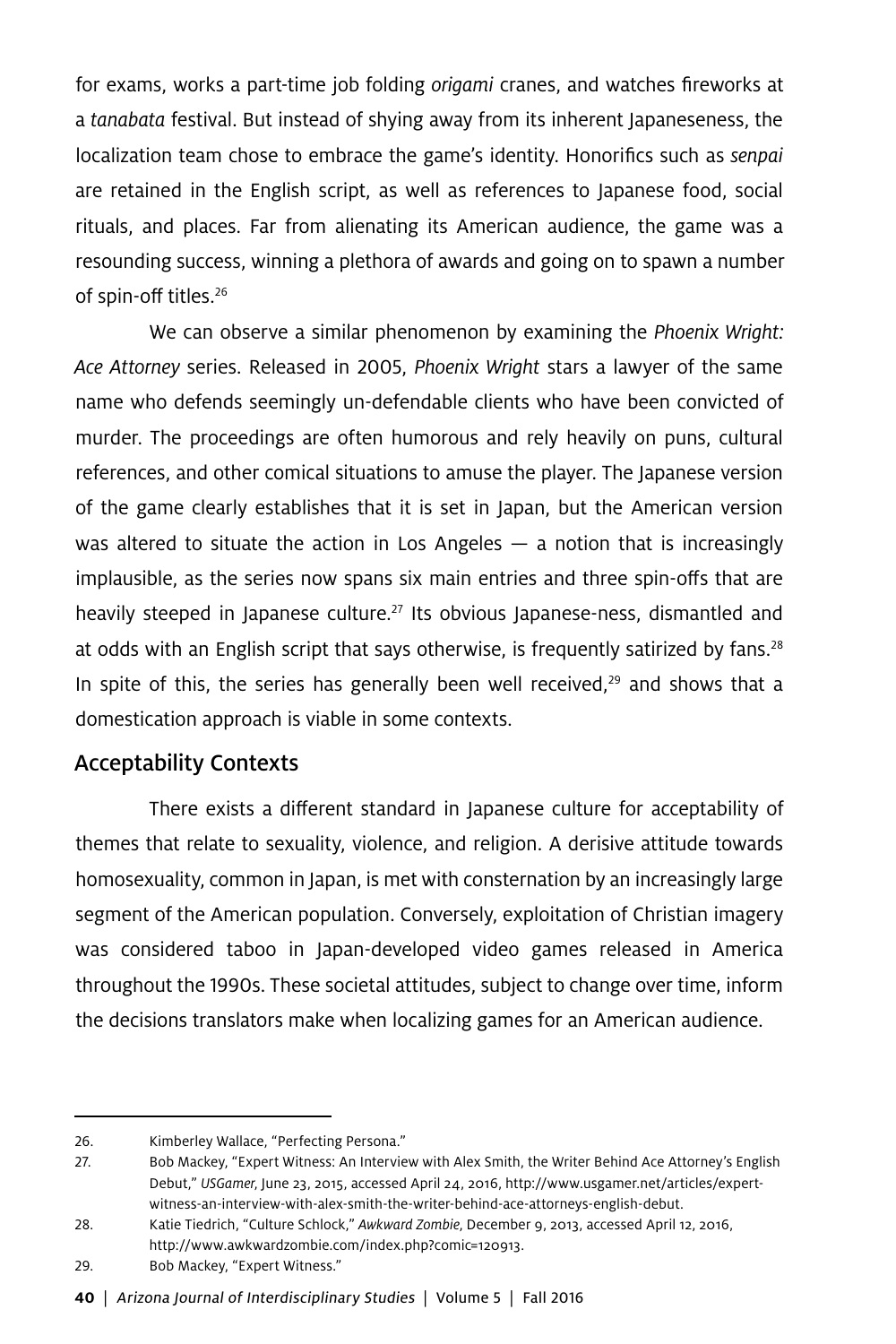for exams, works a part-time job folding *origami* cranes, and watches fireworks at a *tanabata* festival. But instead of shying away from its inherent Japaneseness, the localization team chose to embrace the game's identity. Honorifics such as *senpai* are retained in the English script, as well as references to Japanese food, social rituals, and places. Far from alienating its American audience, the game was a resounding success, winning a plethora of awards and going on to spawn a number of spin-off titles.26

We can observe a similar phenomenon by examining the *Phoenix Wright: Ace Attorney* series. Released in 2005, *Phoenix Wright* stars a lawyer of the same name who defends seemingly un-defendable clients who have been convicted of murder. The proceedings are often humorous and rely heavily on puns, cultural references, and other comical situations to amuse the player. The Japanese version of the game clearly establishes that it is set in Japan, but the American version was altered to situate the action in Los Angeles  $-$  a notion that is increasingly implausible, as the series now spans six main entries and three spin-offs that are heavily steeped in Japanese culture.<sup>27</sup> Its obvious Japanese-ness, dismantled and at odds with an English script that says otherwise, is frequently satirized by fans. $28$ In spite of this, the series has generally been well received, $29$  and shows that a domestication approach is viable in some contexts.

### Acceptability Contexts

There exists a different standard in Japanese culture for acceptability of themes that relate to sexuality, violence, and religion. A derisive attitude towards homosexuality, common in Japan, is met with consternation by an increasingly large segment of the American population. Conversely, exploitation of Christian imagery was considered taboo in Japan-developed video games released in America throughout the 1990s. These societal attitudes, subject to change over time, inform the decisions translators make when localizing games for an American audience.

<sup>26.</sup> Kimberley Wallace, "Perfecting Persona."

<sup>27.</sup> Bob Mackey, "Expert Witness: An Interview with Alex Smith, the Writer Behind Ace Attorney's English Debut," *USGamer*, June 23, 2015, accessed April 24, 2016, http://www.usgamer.net/articles/expertwitness-an-interview-with-alex-smith-the-writer-behind-ace-attorneys-english-debut.

<sup>28.</sup> Katie Tiedrich, "Culture Schlock," *Awkward Zombie*, December 9, 2013, accessed April 12, 2016, http://www.awkwardzombie.com/index.php?comic=120913.

<sup>29.</sup> Bob Mackey, "Expert Witness."

**<sup>40</sup>** | Arizona Journal of Interdisciplinary Studies | Volume 5 | Fall 2016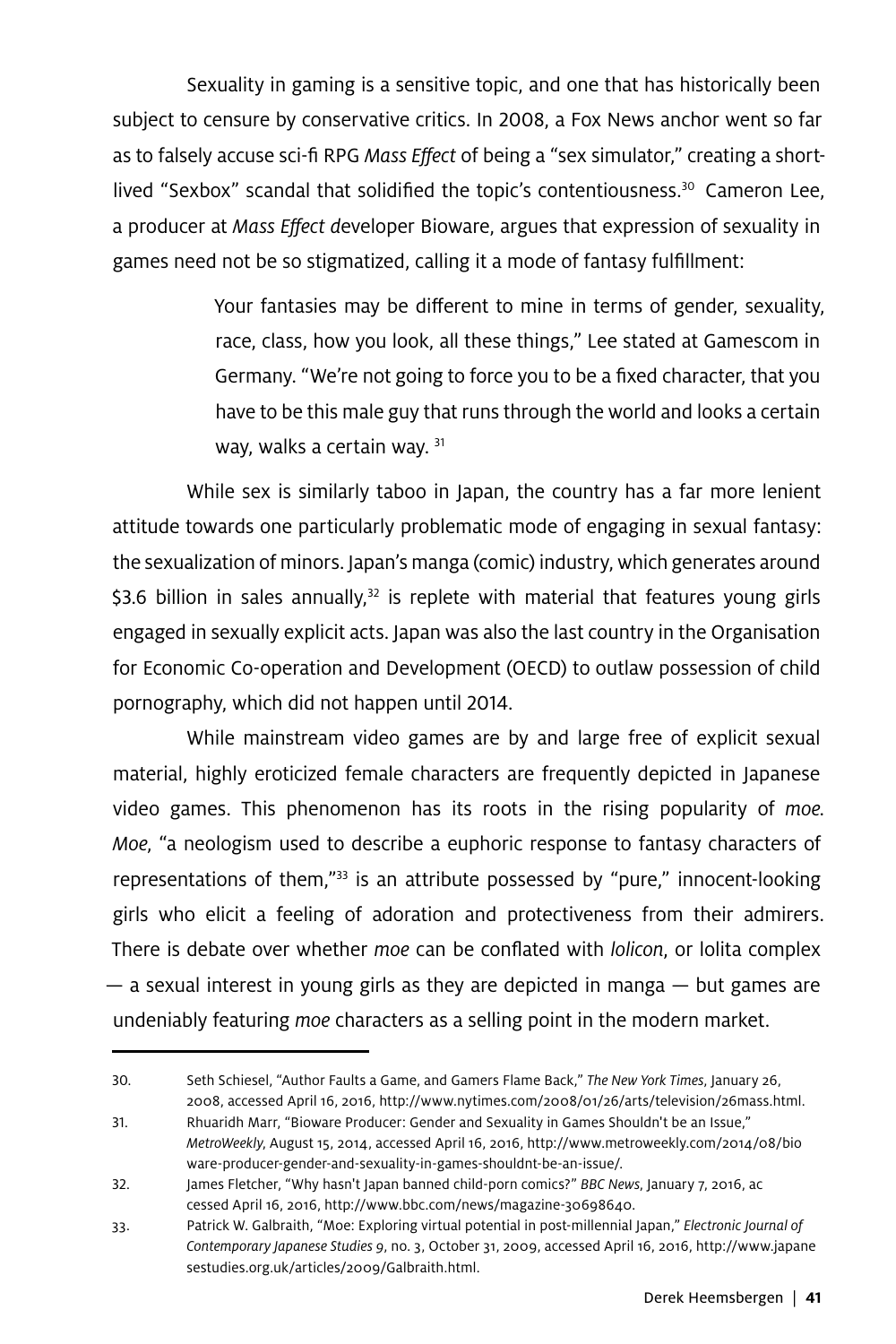Sexuality in gaming is a sensitive topic, and one that has historically been subject to censure by conservative critics. In 2008, a Fox News anchor went so far as to falsely accuse sci-fi RPG *Mass Effect* of being a "sex simulator," creating a shortlived "Sexbox" scandal that solidified the topic's contentiousness.<sup>30</sup> Cameron Lee, a producer at *Mass Effect d*eveloper Bioware, argues that expression of sexuality in games need not be so stigmatized, calling it a mode of fantasy fulfillment:

> Your fantasies may be different to mine in terms of gender, sexuality, race, class, how you look, all these things," Lee stated at Gamescom in Germany. "We're not going to force you to be a fixed character, that you have to be this male guy that runs through the world and looks a certain way, walks a certain way. 31

While sex is similarly taboo in Japan, the country has a far more lenient attitude towards one particularly problematic mode of engaging in sexual fantasy: the sexualization of minors. Japan's manga (comic) industry, which generates around \$3.6 billion in sales annually, $32$  is replete with material that features young girls engaged in sexually explicit acts. Japan was also the last country in the Organisation for Economic Co-operation and Development (OECD) to outlaw possession of child pornography, which did not happen until 2014.

While mainstream video games are by and large free of explicit sexual material, highly eroticized female characters are frequently depicted in Japanese video games. This phenomenon has its roots in the rising popularity of *moe. Moe*, "a neologism used to describe a euphoric response to fantasy characters of representations of them,"<sup>33</sup> is an attribute possessed by "pure," innocent-looking girls who elicit a feeling of adoration and protectiveness from their admirers. There is debate over whether *moe* can be conflated with *lolicon*, or lolita complex  $-$  a sexual interest in young girls as they are depicted in manga  $-$  but games are undeniably featuring *moe* characters as a selling point in the modern market.

<sup>30.</sup> Seth Schiesel, "Author Faults a Game, and Gamers Flame Back," *The New York Times*, January 26, 2008, accessed April 16, 2016, http://www.nytimes.com/2008/01/26/arts/television/26mass.html.

<sup>31.</sup> Rhuaridh Marr, "Bioware Producer: Gender and Sexuality in Games Shouldn't be an Issue," *MetroWeekly*, August 15, 2014, accessed April 16, 2016, http://www.metroweekly.com/2014/08/bio ware-producer-gender-and-sexuality-in-games-shouldnt-be-an-issue/.

<sup>32.</sup> James Fletcher, "Why hasn't Japan banned child-porn comics?" *BBC News*, January 7, 2016, ac cessed April 16, 2016, http://www.bbc.com/news/magazine-30698640.

<sup>33.</sup> Patrick W. Galbraith, "Moe: Exploring virtual potential in post-millennial Japan," *Electronic Journal of Contemporary Japanese Studies 9*, no. 3, October 31, 2009, accessed April 16, 2016, http://www.japane sestudies.org.uk/articles/2009/Galbraith.html.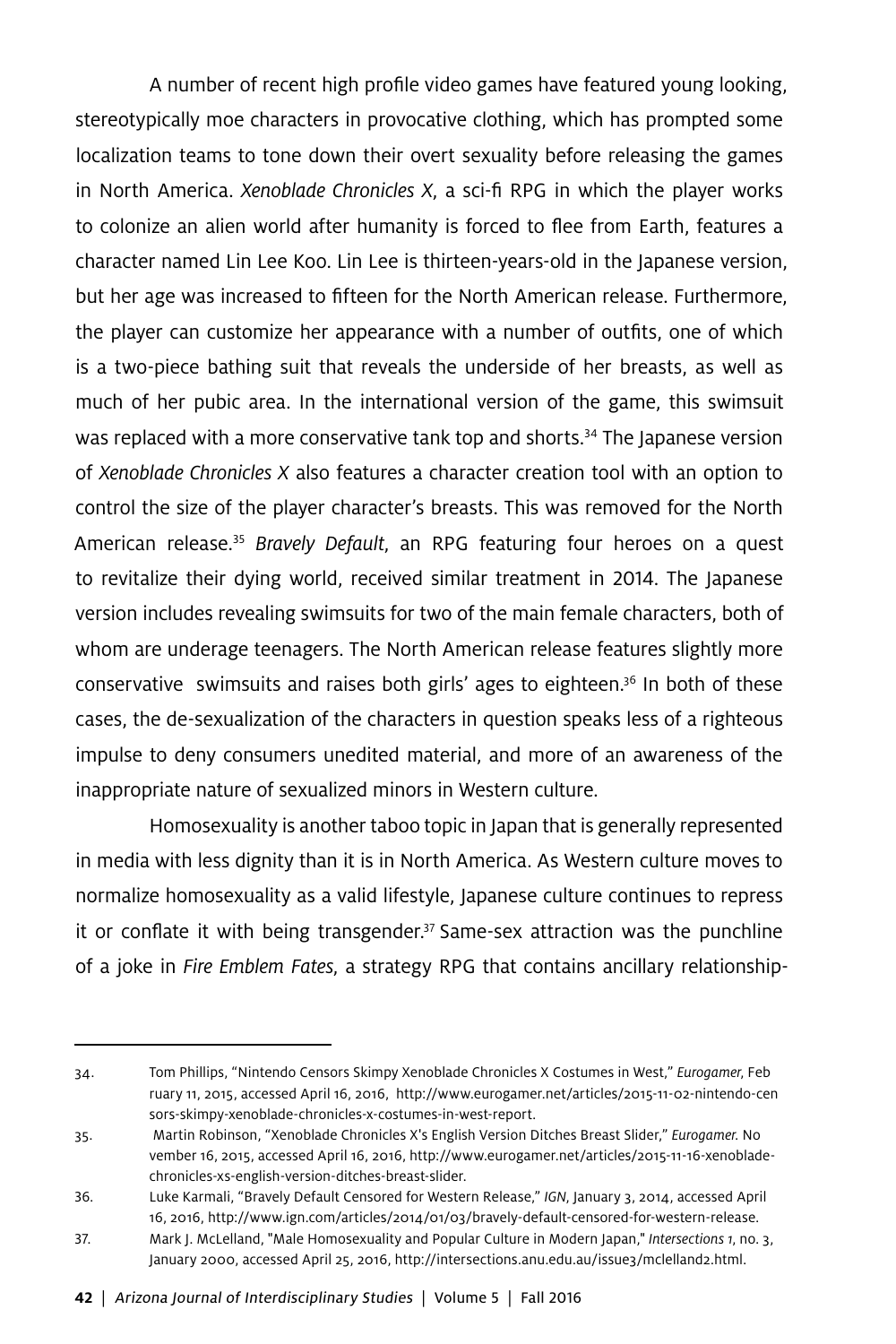A number of recent high profile video games have featured young looking, stereotypically moe characters in provocative clothing, which has prompted some localization teams to tone down their overt sexuality before releasing the games in North America. *Xenoblade Chronicles X*, a sci-fi RPG in which the player works to colonize an alien world after humanity is forced to flee from Earth, features a character named Lin Lee Koo. Lin Lee is thirteen-years-old in the Japanese version, but her age was increased to fifteen for the North American release. Furthermore, the player can customize her appearance with a number of outfits, one of which is a two-piece bathing suit that reveals the underside of her breasts, as well as much of her pubic area. In the international version of the game, this swimsuit was replaced with a more conservative tank top and shorts.<sup>34</sup> The Japanese version of *Xenoblade Chronicles X* also features a character creation tool with an option to control the size of the player character's breasts. This was removed for the North American release.35 *Bravely Default*, an RPG featuring four heroes on a quest to revitalize their dying world, received similar treatment in 2014. The Japanese version includes revealing swimsuits for two of the main female characters, both of whom are underage teenagers. The North American release features slightly more conservative swimsuits and raises both girls' ages to eighteen.36 In both of these cases, the de-sexualization of the characters in question speaks less of a righteous impulse to deny consumers unedited material, and more of an awareness of the inappropriate nature of sexualized minors in Western culture.

Homosexuality is another taboo topic in Japan that is generally represented in media with less dignity than it is in North America. As Western culture moves to normalize homosexuality as a valid lifestyle, Japanese culture continues to repress it or conflate it with being transgender.<sup>37</sup> Same-sex attraction was the punchline of a joke in *Fire Emblem Fates*, a strategy RPG that contains ancillary relationship-

**42** | Arizona Journal of Interdisciplinary Studies | Volume 5 | Fall 2016

<sup>34.</sup> Tom Phillips, "Nintendo Censors Skimpy Xenoblade Chronicles X Costumes in West," *Eurogamer*, Feb ruary 11, 2015, accessed April 16, 2016, http://www.eurogamer.net/articles/2015-11-02-nintendo-cen sors-skimpy-xenoblade-chronicles-x-costumes-in-west-report.

<sup>35.</sup> Martin Robinson, "Xenoblade Chronicles X's English Version Ditches Breast Slider," *Eurogamer.* No vember 16, 2015, accessed April 16, 2016, http://www.eurogamer.net/articles/2015-11-16-xenobladechronicles-xs-english-version-ditches-breast-slider.

<sup>36.</sup> Luke Karmali, "Bravely Default Censored for Western Release," *IGN*, January 3, 2014, accessed April 16, 2016, http://www.ign.com/articles/2014/01/03/bravely-default-censored-for-western-release.

<sup>37.</sup> Mark J. McLelland, "Male Homosexuality and Popular Culture in Modern Japan," *Intersections 1*, no. 3, January 2000, accessed April 25, 2016, http://intersections.anu.edu.au/issue3/mclelland2.html.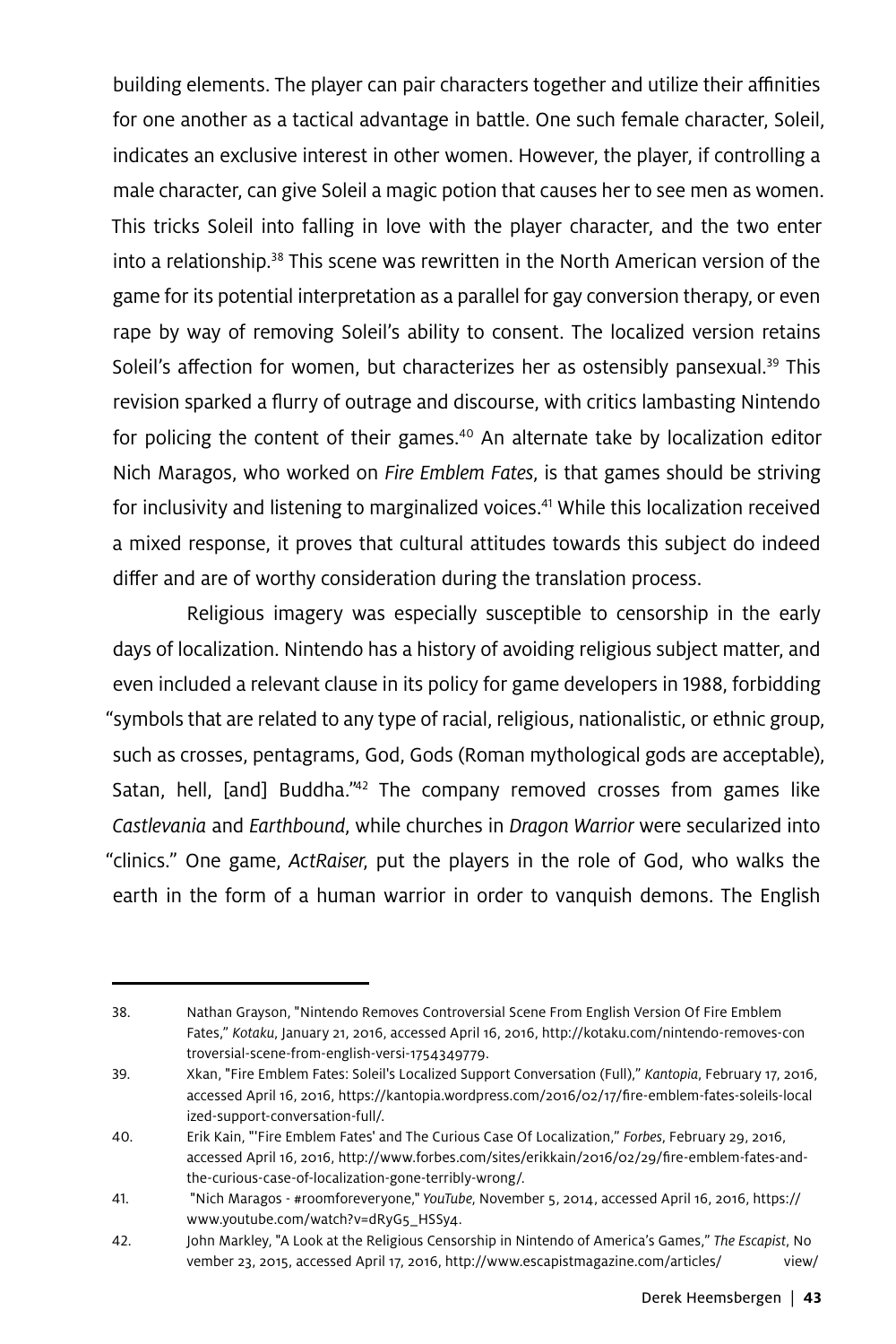building elements. The player can pair characters together and utilize their affinities for one another as a tactical advantage in battle. One such female character, Soleil, indicates an exclusive interest in other women. However, the player, if controlling a male character, can give Soleil a magic potion that causes her to see men as women. This tricks Soleil into falling in love with the player character, and the two enter into a relationship.<sup>38</sup> This scene was rewritten in the North American version of the game for its potential interpretation as a parallel for gay conversion therapy, or even rape by way of removing Soleil's ability to consent. The localized version retains Soleil's affection for women, but characterizes her as ostensibly pansexual.<sup>39</sup> This revision sparked a flurry of outrage and discourse, with critics lambasting Nintendo for policing the content of their games.<sup>40</sup> An alternate take by localization editor Nich Maragos, who worked on *Fire Emblem Fates*, is that games should be striving for inclusivity and listening to marginalized voices.<sup>41</sup> While this localization received a mixed response, it proves that cultural attitudes towards this subject do indeed differ and are of worthy consideration during the translation process.

Religious imagery was especially susceptible to censorship in the early days of localization. Nintendo has a history of avoiding religious subject matter, and even included a relevant clause in its policy for game developers in 1988, forbidding "symbols that are related to any type of racial, religious, nationalistic, or ethnic group, such as crosses, pentagrams, God, Gods (Roman mythological gods are acceptable), Satan, hell, [and] Buddha."<sup>42</sup> The company removed crosses from games like *Castlevania* and *Earthbound*, while churches in *Dragon Warrior* were secularized into "clinics." One game, *ActRaiser*, put the players in the role of God, who walks the earth in the form of a human warrior in order to vanquish demons. The English

<sup>38.</sup> Nathan Grayson, "Nintendo Removes Controversial Scene From English Version Of Fire Emblem Fates," *Kotaku*, January 21, 2016, accessed April 16, 2016, http://kotaku.com/nintendo-removes-con troversial-scene-from-english-versi-1754349779.

<sup>39.</sup> Xkan, "Fire Emblem Fates: Soleil's Localized Support Conversation (Full)," *Kantopia*, February 17, 2016, accessed April 16, 2016, https://kantopia.wordpress.com/2016/02/17/fire-emblem-fates-soleils-local ized-support-conversation-full/.

<sup>40.</sup> Erik Kain, "'Fire Emblem Fates' and The Curious Case Of Localization," *Forbes*, February 29, 2016, accessed April 16, 2016, http://www.forbes.com/sites/erikkain/2016/02/29/fire-emblem-fates-andthe-curious-case-of-localization-gone-terribly-wrong/.

<sup>41. &</sup>quot;Nich Maragos - #roomforeveryone," *YouTube*, November 5, 2014, accessed April 16, 2016, https:// www.youtube.com/watch?v=dRyG5\_HSSy4.

<sup>42.</sup> John Markley, "A Look at the Religious Censorship in Nintendo of America's Games," *The Escapist*, No vember 23, 2015, accessed April 17, 2016, http://www.escapistmagazine.com/articles/ view/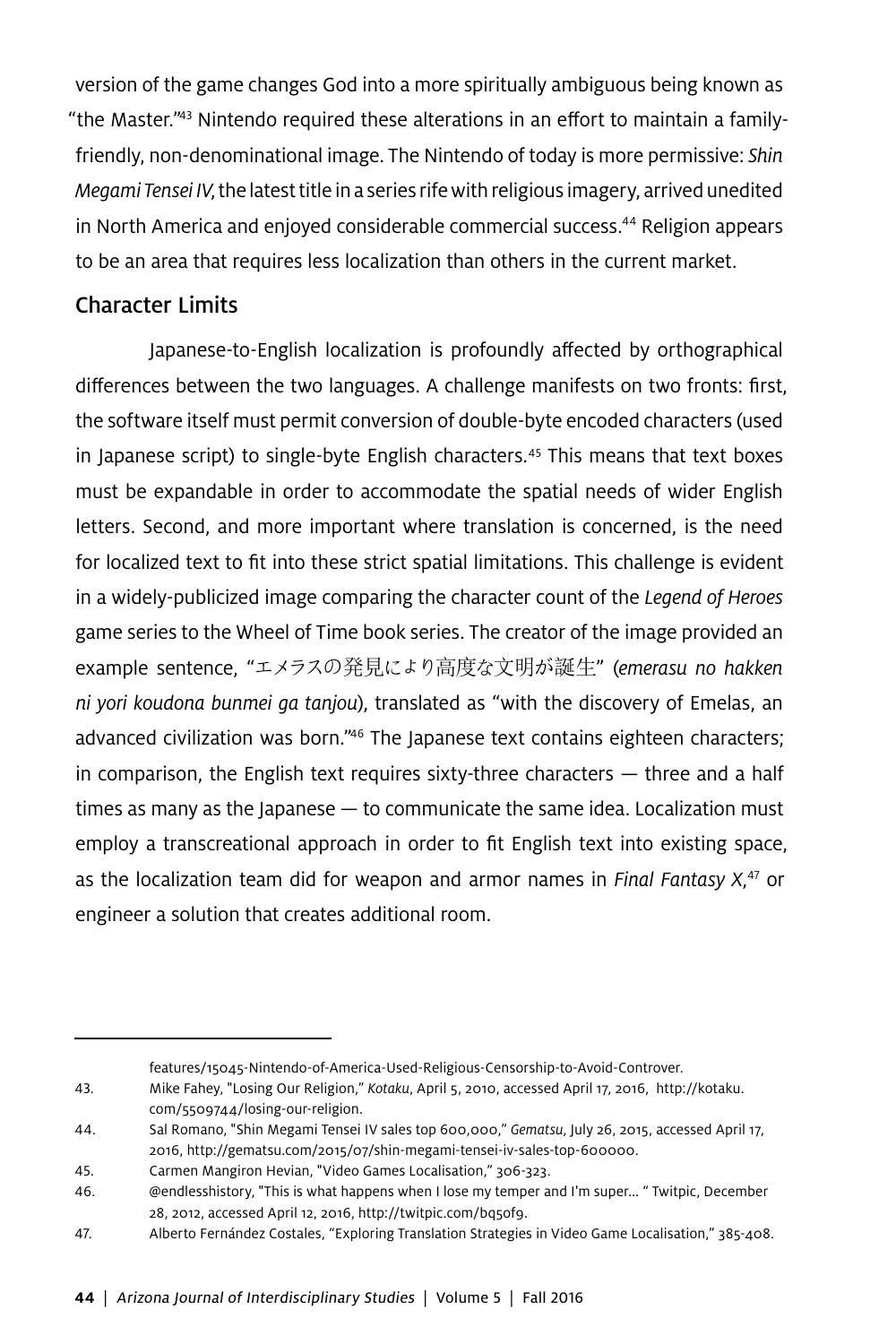version of the game changes God into a more spiritually ambiguous being known as "the Master."43 Nintendo required these alterations in an effort to maintain a familyfriendly, non-denominational image. The Nintendo of today is more permissive: *Shin Megami Tensei IV*, the latest title in a series rife with religious imagery, arrived unedited in North America and enjoyed considerable commercial success.<sup>44</sup> Religion appears to be an area that requires less localization than others in the current market.

### Character Limits

Japanese-to-English localization is profoundly affected by orthographical differences between the two languages. A challenge manifests on two fronts: first, the software itself must permit conversion of double-byte encoded characters (used in Japanese script) to single-byte English characters.<sup>45</sup> This means that text boxes must be expandable in order to accommodate the spatial needs of wider English letters. Second, and more important where translation is concerned, is the need for localized text to fit into these strict spatial limitations. This challenge is evident in a widely-publicized image comparing the character count of the *Legend of Heroes* game series to the Wheel of Time book series. The creator of the image provided an example sentence, "エメラスの発見により高度な文明が誕生" (*emerasu no hakken ni yori koudona bunmei ga tanjou*), translated as "with the discovery of Emelas, an advanced civilization was born."<sup>46</sup> The Japanese text contains eighteen characters; in comparison, the English text requires sixty-three characters — three and a half times as many as the Japanese — to communicate the same idea. Localization must employ a transcreational approach in order to fit English text into existing space, as the localization team did for weapon and armor names in *Final Fantasy X*, 47 or engineer a solution that creates additional room.

features/15045-Nintendo-of-America-Used-Religious-Censorship-to-Avoid-Controver.

<sup>43.</sup> Mike Fahey, "Losing Our Religion," *Kotaku*, April 5, 2010, accessed April 17, 2016, http://kotaku. com/5509744/losing-our-religion.

<sup>44.</sup> Sal Romano, "Shin Megami Tensei IV sales top 600,000," *Gematsu*, July 26, 2015, accessed April 17, 2016, http://gematsu.com/2015/07/shin-megami-tensei-iv-sales-top-600000.

<sup>45.</sup> Carmen Mangiron Hevian, "Video Games Localisation," 306-323.

<sup>46. @</sup>endlesshistory, "This is what happens when I lose my temper and I'm super... " Twitpic, December 28, 2012, accessed April 12, 2016, http://twitpic.com/bq5of9.

<sup>47.</sup> Alberto Fernández Costales, "Exploring Translation Strategies in Video Game Localisation," 385-408.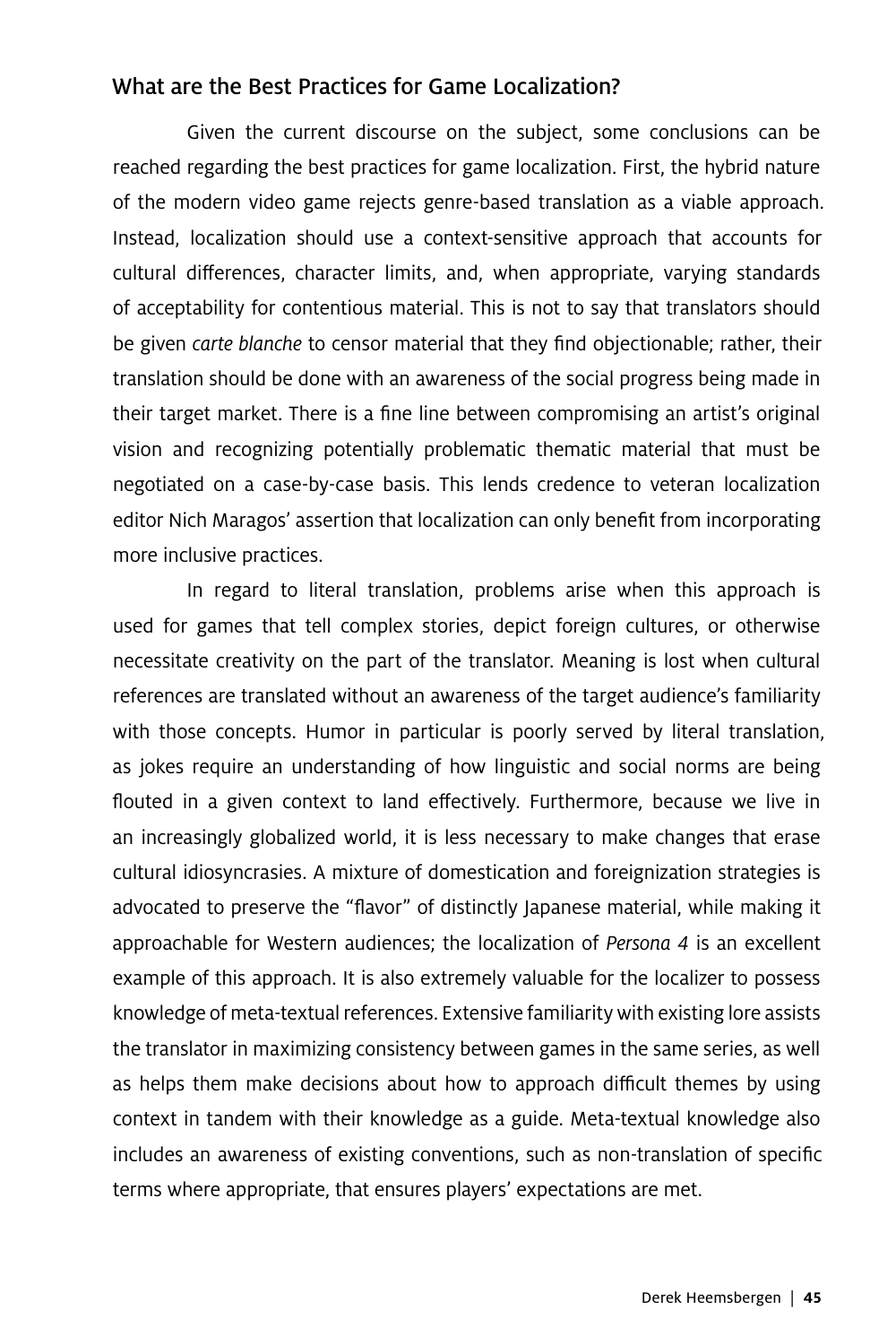### What are the Best Practices for Game Localization?

Given the current discourse on the subject, some conclusions can be reached regarding the best practices for game localization. First, the hybrid nature of the modern video game rejects genre-based translation as a viable approach. Instead, localization should use a context-sensitive approach that accounts for cultural differences, character limits, and, when appropriate, varying standards of acceptability for contentious material. This is not to say that translators should be given *carte blanche* to censor material that they find objectionable; rather, their translation should be done with an awareness of the social progress being made in their target market. There is a fine line between compromising an artist's original vision and recognizing potentially problematic thematic material that must be negotiated on a case-by-case basis. This lends credence to veteran localization editor Nich Maragos' assertion that localization can only benefit from incorporating more inclusive practices.

In regard to literal translation, problems arise when this approach is used for games that tell complex stories, depict foreign cultures, or otherwise necessitate creativity on the part of the translator. Meaning is lost when cultural references are translated without an awareness of the target audience's familiarity with those concepts. Humor in particular is poorly served by literal translation, as jokes require an understanding of how linguistic and social norms are being flouted in a given context to land effectively. Furthermore, because we live in an increasingly globalized world, it is less necessary to make changes that erase cultural idiosyncrasies. A mixture of domestication and foreignization strategies is advocated to preserve the "flavor" of distinctly Japanese material, while making it approachable for Western audiences; the localization of *Persona 4* is an excellent example of this approach. It is also extremely valuable for the localizer to possess knowledge of meta-textual references. Extensive familiarity with existing lore assists the translator in maximizing consistency between games in the same series, as well as helps them make decisions about how to approach difficult themes by using context in tandem with their knowledge as a guide. Meta-textual knowledge also includes an awareness of existing conventions, such as non-translation of specific terms where appropriate, that ensures players' expectations are met.